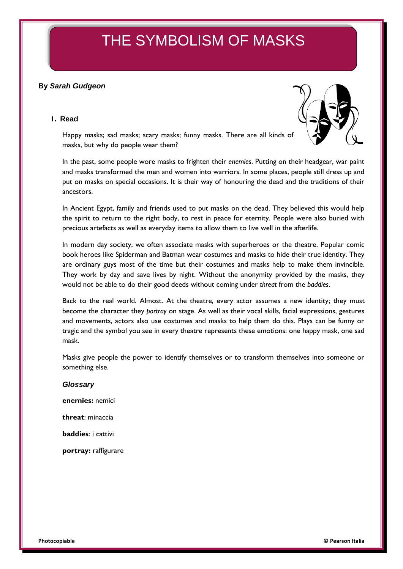# THE SYMBOLISM OF MASKS

## **By** *Sarah Gudgeon*

#### **1. Read**



Happy masks; sad masks; scary masks; funny masks. There are all kinds of masks, but why do people wear them?

In the past, some people wore masks to frighten their *enemies*. Putting on their headgear, war paint and masks transformed the men and women into warriors. In some places, people still dress up and put on masks on special occasions. It is their way of honouring the dead and the traditions of their ancestors.

In Ancient Egypt, family and friends used to put masks on the dead. They believed this would help the spirit to return to the right body, to rest in peace for eternity. People were also buried with precious artefacts as well as everyday items to allow them to live well in the afterlife.

In modern day society, we often associate masks with superheroes or the theatre. Popular comic book heroes like Spiderman and Batman wear costumes and masks to hide their true identity. They are ordinary guys most of the time but their costumes and masks help to make them invincible. They work by day and save lives by night. Without the anonymity provided by the masks, they would not be able to do their good deeds without coming under *threat* from the *baddies*.

Back to the real world. Almost. At the theatre, every actor assumes a new identity; they must become the character they *portray* on stage. As well as their vocal skills, facial expressions, gestures and movements, actors also use costumes and masks to help them do this. Plays can be funny or tragic and the symbol you see in every theatre represents these emotions: one happy mask, one sad mask.

Masks give people the power to identify themselves or to transform themselves into someone or something else.

## *Glossary*

**enemies:** nemici

**threat**: minaccia

**baddies**: i cattivi

**portray:** raffigurare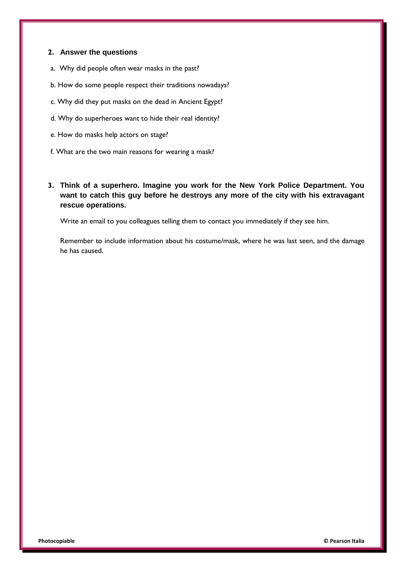#### **2. Answer the questions**

- a. Why did people often wear masks in the past?
- b. How do some people respect their traditions nowadays?
- c. Why did they put masks on the dead in Ancient Egypt?
- d. Why do superheroes want to hide their real identity?
- e. How do masks help actors on stage?
- f. What are the two main reasons for wearing a mask?
- **3. Think of a superhero. Imagine you work for the New York Police Department. You want to catch this guy before he destroys any more of the city with his extravagant rescue operations.**

Write an email to you colleagues telling them to contact you immediately if they see him.

Remember to include information about his costume/mask, where he was last seen, and the damage he has caused.